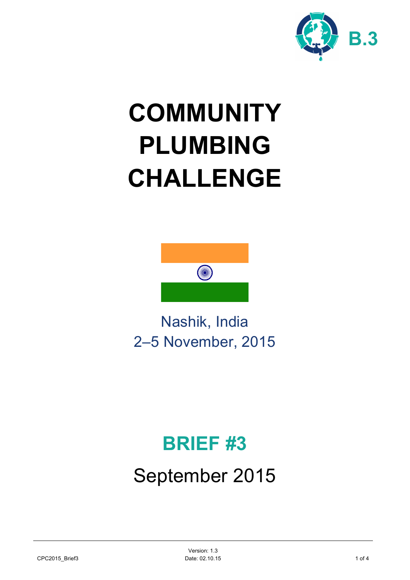

# **COMMUNITY PLUMBING CHALLENGE**



Nashik, India 2–5 November, 2015

# **BRIEF #3**

# September 2015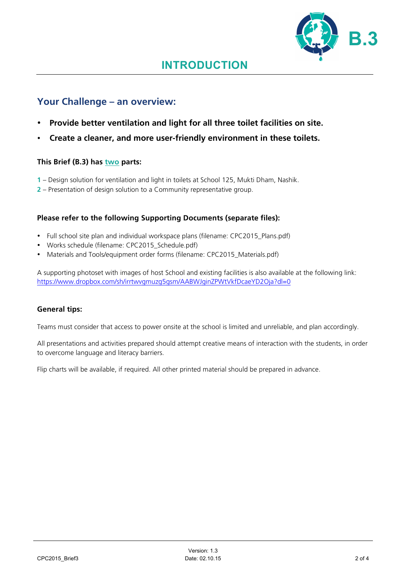

### **Your Challenge – an overview:**

- **Provide better ventilation and light for all three toilet facilities on site.**
- **Create a cleaner, and more user-friendly environment in these toilets.**

#### **This Brief (B.3) has two parts:**

- **1** Design solution for ventilation and light in toilets at School 125, Mukti Dham, Nashik.
- **2** Presentation of design solution to a Community representative group.

#### **Please refer to the following Supporting Documents (separate files):**

- Full school site plan and individual workspace plans (filename: CPC2015\_Plans.pdf)
- Works schedule (filename: CPC2015\_Schedule.pdf)
- Materials and Tools/equipment order forms (filename: CPC2015 Materials.pdf)

A supporting photoset with images of host School and existing facilities is also available at the following link: https://www.dropbox.com/sh/irrtwvgmuzg5gsm/AABWJginZPWtVkfDcaeYD2Oja?dl=0

#### **General tips:**

Teams must consider that access to power onsite at the school is limited and unreliable, and plan accordingly.

All presentations and activities prepared should attempt creative means of interaction with the students, in order to overcome language and literacy barriers.

Flip charts will be available, if required. All other printed material should be prepared in advance.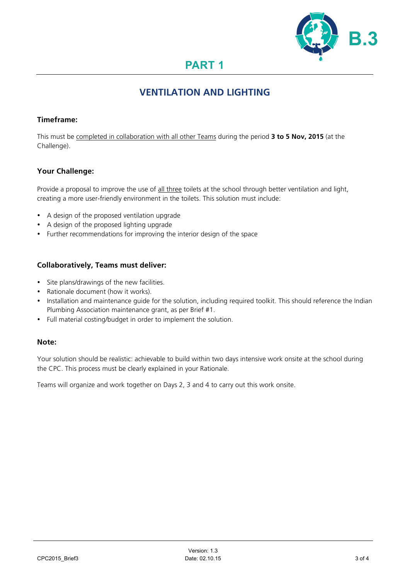

# **PART 1**

### **VENTILATION AND LIGHTING**

#### **Timeframe:**

This must be completed in collaboration with all other Teams during the period **3 to 5 Nov, 2015** (at the Challenge).

#### **Your Challenge:**

Provide a proposal to improve the use of all three toilets at the school through better ventilation and light, creating a more user-friendly environment in the toilets. This solution must include:

- A design of the proposed ventilation upgrade
- A design of the proposed lighting upgrade
- Further recommendations for improving the interior design of the space

#### **Collaboratively, Teams must deliver:**

- Site plans/drawings of the new facilities.
- Rationale document (how it works).
- Installation and maintenance guide for the solution, including required toolkit. This should reference the Indian Plumbing Association maintenance grant, as per Brief #1.
- Full material costing/budget in order to implement the solution.

#### **Note:**

Your solution should be realistic: achievable to build within two days intensive work onsite at the school during the CPC. This process must be clearly explained in your Rationale.

Teams will organize and work together on Days 2, 3 and 4 to carry out this work onsite.